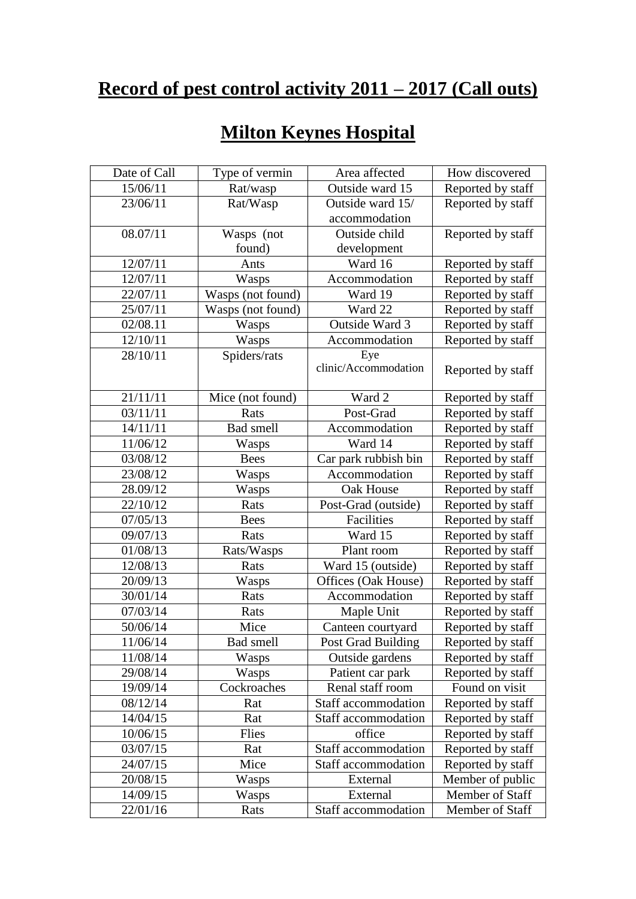## **Record of pest control activity 2011 – 2017 (Call outs)**

| <b>Milton Keynes Hospital</b> |
|-------------------------------|
|-------------------------------|

| Date of Call | Type of vermin    | Area affected        | How discovered    |
|--------------|-------------------|----------------------|-------------------|
| 15/06/11     | Rat/wasp          | Outside ward 15      | Reported by staff |
| 23/06/11     | Rat/Wasp          | Outside ward 15/     | Reported by staff |
|              |                   | accommodation        |                   |
| 08.07/11     | Wasps (not        | Outside child        | Reported by staff |
|              | found)            | development          |                   |
| 12/07/11     | Ants              | Ward 16              | Reported by staff |
| 12/07/11     | Wasps             | Accommodation        | Reported by staff |
| 22/07/11     | Wasps (not found) | Ward 19              | Reported by staff |
| 25/07/11     | Wasps (not found) | Ward 22              | Reported by staff |
| 02/08.11     | Wasps             | Outside Ward 3       | Reported by staff |
| 12/10/11     | Wasps             | Accommodation        | Reported by staff |
| 28/10/11     | Spiders/rats      | Eye                  |                   |
|              |                   | clinic/Accommodation | Reported by staff |
|              |                   |                      |                   |
| 21/11/11     | Mice (not found)  | Ward 2               | Reported by staff |
| 03/11/11     | Rats              | Post-Grad            | Reported by staff |
| 14/11/11     | <b>Bad</b> smell  | Accommodation        | Reported by staff |
| 11/06/12     | Wasps             | Ward 14              | Reported by staff |
| 03/08/12     | <b>Bees</b>       | Car park rubbish bin | Reported by staff |
| 23/08/12     | Wasps             | Accommodation        | Reported by staff |
| 28.09/12     | Wasps             | Oak House            | Reported by staff |
| 22/10/12     | Rats              | Post-Grad (outside)  | Reported by staff |
| 07/05/13     | <b>Bees</b>       | Facilities           | Reported by staff |
| 09/07/13     | Rats              | Ward 15              | Reported by staff |
| 01/08/13     | Rats/Wasps        | Plant room           | Reported by staff |
| 12/08/13     | Rats              | Ward 15 (outside)    | Reported by staff |
| 20/09/13     | Wasps             | Offices (Oak House)  | Reported by staff |
| 30/01/14     | Rats              | Accommodation        | Reported by staff |
| 07/03/14     | Rats              | Maple Unit           | Reported by staff |
| 50/06/14     | Mice              | Canteen courtyard    | Reported by staff |
| 11/06/14     | Bad smell         | Post Grad Building   | Reported by staff |
| 11/08/14     | Wasps             | Outside gardens      | Reported by staff |
| 29/08/14     | Wasps             | Patient car park     | Reported by staff |
| 19/09/14     | Cockroaches       | Renal staff room     | Found on visit    |
| 08/12/14     | Rat               | Staff accommodation  | Reported by staff |
| 14/04/15     | Rat               | Staff accommodation  | Reported by staff |
| 10/06/15     | Flies             | office               | Reported by staff |
| 03/07/15     | Rat               | Staff accommodation  | Reported by staff |
| 24/07/15     | Mice              | Staff accommodation  | Reported by staff |
| 20/08/15     | Wasps             | External             | Member of public  |
| 14/09/15     | Wasps             | External             | Member of Staff   |
| 22/01/16     | Rats              | Staff accommodation  | Member of Staff   |